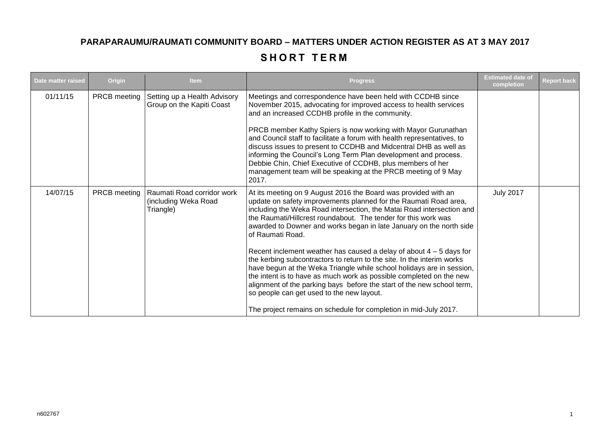## **PARAPARAUMU/RAUMATI COMMUNITY BOARD – MATTERS UNDER ACTION REGISTER AS AT 3 MAY 2017**

## **SHORT TERM**

| Date matter raised | Origin       | <b>Item</b>                                                     | <b>Progress</b>                                                                                                                                                                                                                                                                                                                                                                                                                                                                                                                                                                                                                                                                                                                                                                                                                                                        | <b>Estimated date of</b><br>completion | <b>Report back</b> |
|--------------------|--------------|-----------------------------------------------------------------|------------------------------------------------------------------------------------------------------------------------------------------------------------------------------------------------------------------------------------------------------------------------------------------------------------------------------------------------------------------------------------------------------------------------------------------------------------------------------------------------------------------------------------------------------------------------------------------------------------------------------------------------------------------------------------------------------------------------------------------------------------------------------------------------------------------------------------------------------------------------|----------------------------------------|--------------------|
| 01/11/15           | PRCB meeting | Setting up a Health Advisory<br>Group on the Kapiti Coast       | Meetings and correspondence have been held with CCDHB since<br>November 2015, advocating for improved access to health services<br>and an increased CCDHB profile in the community.<br>PRCB member Kathy Spiers is now working with Mayor Gurunathan<br>and Council staff to facilitate a forum with health representatives, to<br>discuss issues to present to CCDHB and Midcentral DHB as well as<br>informing the Council's Long Term Plan development and process.<br>Debbie Chin, Chief Executive of CCDHB, plus members of her<br>management team will be speaking at the PRCB meeting of 9 May<br>2017.                                                                                                                                                                                                                                                         |                                        |                    |
| 14/07/15           | PRCB meeting | Raumati Road corridor work<br>(including Weka Road<br>Triangle) | At its meeting on 9 August 2016 the Board was provided with an<br>update on safety improvements planned for the Raumati Road area,<br>including the Weka Road intersection, the Matai Road intersection and<br>the Raumati/Hillcrest roundabout. The tender for this work was<br>awarded to Downer and works began in late January on the north side<br>of Raumati Road.<br>Recent inclement weather has caused a delay of about $4 - 5$ days for<br>the kerbing subcontractors to return to the site. In the interim works<br>have begun at the Weka Triangle while school holidays are in session,<br>the intent is to have as much work as possible completed on the new<br>alignment of the parking bays before the start of the new school term,<br>so people can get used to the new layout.<br>The project remains on schedule for completion in mid-July 2017. | <b>July 2017</b>                       |                    |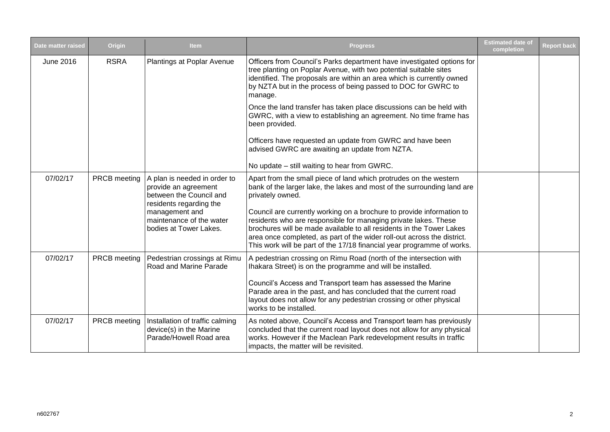| Date matter raised | Origin       | <b>Item</b>                                                                                                                                                                        | <b>Progress</b>                                                                                                                                                                                                                                                                                                                                                                                                                                                                                                                           | <b>Estimated date of</b><br>completion | <b>Report back</b> |
|--------------------|--------------|------------------------------------------------------------------------------------------------------------------------------------------------------------------------------------|-------------------------------------------------------------------------------------------------------------------------------------------------------------------------------------------------------------------------------------------------------------------------------------------------------------------------------------------------------------------------------------------------------------------------------------------------------------------------------------------------------------------------------------------|----------------------------------------|--------------------|
| June 2016          | <b>RSRA</b>  | Plantings at Poplar Avenue                                                                                                                                                         | Officers from Council's Parks department have investigated options for<br>tree planting on Poplar Avenue, with two potential suitable sites<br>identified. The proposals are within an area which is currently owned<br>by NZTA but in the process of being passed to DOC for GWRC to<br>manage.                                                                                                                                                                                                                                          |                                        |                    |
|                    |              |                                                                                                                                                                                    | Once the land transfer has taken place discussions can be held with<br>GWRC, with a view to establishing an agreement. No time frame has<br>been provided.                                                                                                                                                                                                                                                                                                                                                                                |                                        |                    |
|                    |              |                                                                                                                                                                                    | Officers have requested an update from GWRC and have been<br>advised GWRC are awaiting an update from NZTA.                                                                                                                                                                                                                                                                                                                                                                                                                               |                                        |                    |
|                    |              |                                                                                                                                                                                    | No update – still waiting to hear from GWRC.                                                                                                                                                                                                                                                                                                                                                                                                                                                                                              |                                        |                    |
| 07/02/17           | PRCB meeting | A plan is needed in order to<br>provide an agreement<br>between the Council and<br>residents regarding the<br>management and<br>maintenance of the water<br>bodies at Tower Lakes. | Apart from the small piece of land which protrudes on the western<br>bank of the larger lake, the lakes and most of the surrounding land are<br>privately owned.<br>Council are currently working on a brochure to provide information to<br>residents who are responsible for managing private lakes. These<br>brochures will be made available to all residents in the Tower Lakes<br>area once completed, as part of the wider roll-out across the district.<br>This work will be part of the 17/18 financial year programme of works. |                                        |                    |
| 07/02/17           | PRCB meeting | Pedestrian crossings at Rimu<br>Road and Marine Parade                                                                                                                             | A pedestrian crossing on Rimu Road (north of the intersection with<br>Ihakara Street) is on the programme and will be installed.<br>Council's Access and Transport team has assessed the Marine<br>Parade area in the past, and has concluded that the current road<br>layout does not allow for any pedestrian crossing or other physical<br>works to be installed.                                                                                                                                                                      |                                        |                    |
| 07/02/17           | PRCB meeting | Installation of traffic calming<br>device(s) in the Marine<br>Parade/Howell Road area                                                                                              | As noted above, Council's Access and Transport team has previously<br>concluded that the current road layout does not allow for any physical<br>works. However if the Maclean Park redevelopment results in traffic<br>impacts, the matter will be revisited.                                                                                                                                                                                                                                                                             |                                        |                    |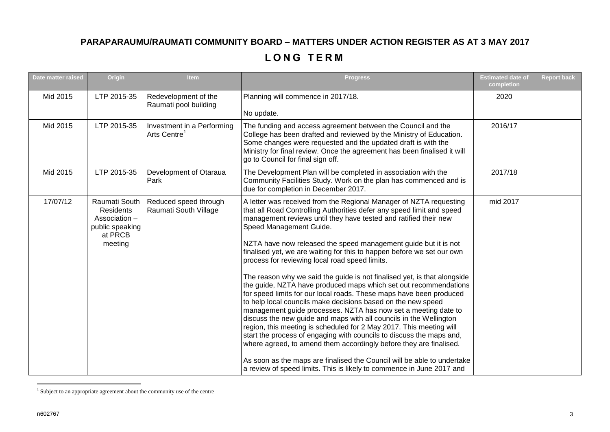## **PARAPARAUMU/RAUMATI COMMUNITY BOARD – MATTERS UNDER ACTION REGISTER AS AT 3 MAY 2017**

## **L O N G T E R M**

| Date matter raised | Origin                                                                               | <b>Item</b>                                            | <b>Progress</b>                                                                                                                                                                                                                                                                                                                                                                                                                                                                                                                                                                                                                                                                                                                                                                                                                                                                                                                                                                                                                                                                                                                                                                                                                                   | <b>Estimated date of</b><br>completion | <b>Report back</b> |
|--------------------|--------------------------------------------------------------------------------------|--------------------------------------------------------|---------------------------------------------------------------------------------------------------------------------------------------------------------------------------------------------------------------------------------------------------------------------------------------------------------------------------------------------------------------------------------------------------------------------------------------------------------------------------------------------------------------------------------------------------------------------------------------------------------------------------------------------------------------------------------------------------------------------------------------------------------------------------------------------------------------------------------------------------------------------------------------------------------------------------------------------------------------------------------------------------------------------------------------------------------------------------------------------------------------------------------------------------------------------------------------------------------------------------------------------------|----------------------------------------|--------------------|
| Mid 2015           | LTP 2015-35                                                                          | Redevelopment of the<br>Raumati pool building          | Planning will commence in 2017/18.<br>No update.                                                                                                                                                                                                                                                                                                                                                                                                                                                                                                                                                                                                                                                                                                                                                                                                                                                                                                                                                                                                                                                                                                                                                                                                  | 2020                                   |                    |
| Mid 2015           | LTP 2015-35                                                                          | Investment in a Performing<br>Arts Centre <sup>1</sup> | The funding and access agreement between the Council and the<br>College has been drafted and reviewed by the Ministry of Education.<br>Some changes were requested and the updated draft is with the<br>Ministry for final review. Once the agreement has been finalised it will<br>go to Council for final sign off.                                                                                                                                                                                                                                                                                                                                                                                                                                                                                                                                                                                                                                                                                                                                                                                                                                                                                                                             | 2016/17                                |                    |
| Mid 2015           | LTP 2015-35                                                                          | Development of Otaraua<br>Park                         | The Development Plan will be completed in association with the<br>Community Facilities Study. Work on the plan has commenced and is<br>due for completion in December 2017.                                                                                                                                                                                                                                                                                                                                                                                                                                                                                                                                                                                                                                                                                                                                                                                                                                                                                                                                                                                                                                                                       | 2017/18                                |                    |
| 17/07/12           | Raumati South<br>Residents<br>Association -<br>public speaking<br>at PRCB<br>meeting | Reduced speed through<br>Raumati South Village         | A letter was received from the Regional Manager of NZTA requesting<br>that all Road Controlling Authorities defer any speed limit and speed<br>management reviews until they have tested and ratified their new<br>Speed Management Guide.<br>NZTA have now released the speed management guide but it is not<br>finalised yet, we are waiting for this to happen before we set our own<br>process for reviewing local road speed limits.<br>The reason why we said the guide is not finalised yet, is that alongside<br>the guide, NZTA have produced maps which set out recommendations<br>for speed limits for our local roads. These maps have been produced<br>to help local councils make decisions based on the new speed<br>management guide processes. NZTA has now set a meeting date to<br>discuss the new guide and maps with all councils in the Wellington<br>region, this meeting is scheduled for 2 May 2017. This meeting will<br>start the process of engaging with councils to discuss the maps and,<br>where agreed, to amend them accordingly before they are finalised.<br>As soon as the maps are finalised the Council will be able to undertake<br>a review of speed limits. This is likely to commence in June 2017 and | mid 2017                               |                    |

 1 Subject to an appropriate agreement about the community use of the centre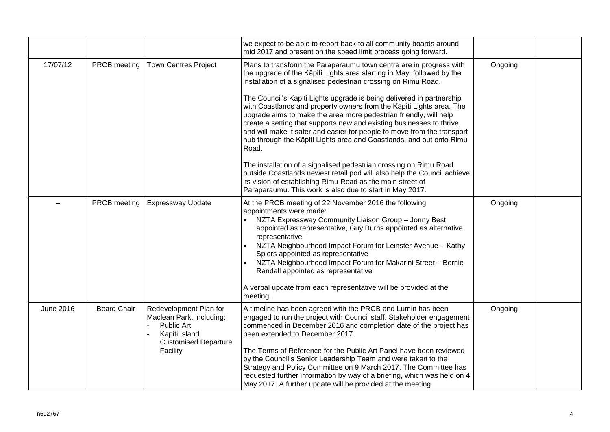|           |                    |                                                                                                                              | we expect to be able to report back to all community boards around<br>mid 2017 and present on the speed limit process going forward.                                                                                                                                                                                                                                                                                                                                                                                                                                                                                                                                                                                                                                                                                                                                                                                                                 |         |  |
|-----------|--------------------|------------------------------------------------------------------------------------------------------------------------------|------------------------------------------------------------------------------------------------------------------------------------------------------------------------------------------------------------------------------------------------------------------------------------------------------------------------------------------------------------------------------------------------------------------------------------------------------------------------------------------------------------------------------------------------------------------------------------------------------------------------------------------------------------------------------------------------------------------------------------------------------------------------------------------------------------------------------------------------------------------------------------------------------------------------------------------------------|---------|--|
| 17/07/12  | PRCB meeting       | <b>Town Centres Project</b>                                                                                                  | Plans to transform the Paraparaumu town centre are in progress with<br>the upgrade of the Kāpiti Lights area starting in May, followed by the<br>installation of a signalised pedestrian crossing on Rimu Road.<br>The Council's Kāpiti Lights upgrade is being delivered in partnership<br>with Coastlands and property owners from the Kāpiti Lights area. The<br>upgrade aims to make the area more pedestrian friendly, will help<br>create a setting that supports new and existing businesses to thrive,<br>and will make it safer and easier for people to move from the transport<br>hub through the Kāpiti Lights area and Coastlands, and out onto Rimu<br>Road.<br>The installation of a signalised pedestrian crossing on Rimu Road<br>outside Coastlands newest retail pod will also help the Council achieve<br>its vision of establishing Rimu Road as the main street of<br>Paraparaumu. This work is also due to start in May 2017. | Ongoing |  |
|           | PRCB meeting       | <b>Expressway Update</b>                                                                                                     | At the PRCB meeting of 22 November 2016 the following<br>appointments were made:<br>NZTA Expressway Community Liaison Group - Jonny Best<br>appointed as representative, Guy Burns appointed as alternative<br>representative<br>NZTA Neighbourhood Impact Forum for Leinster Avenue - Kathy<br>Spiers appointed as representative<br>NZTA Neighbourhood Impact Forum for Makarini Street - Bernie<br>Randall appointed as representative<br>A verbal update from each representative will be provided at the<br>meeting.                                                                                                                                                                                                                                                                                                                                                                                                                            | Ongoing |  |
| June 2016 | <b>Board Chair</b> | Redevelopment Plan for<br>Maclean Park, including:<br>Public Art<br>Kapiti Island<br><b>Customised Departure</b><br>Facility | A timeline has been agreed with the PRCB and Lumin has been<br>engaged to run the project with Council staff. Stakeholder engagement<br>commenced in December 2016 and completion date of the project has<br>been extended to December 2017.<br>The Terms of Reference for the Public Art Panel have been reviewed<br>by the Council's Senior Leadership Team and were taken to the<br>Strategy and Policy Committee on 9 March 2017. The Committee has<br>requested further information by way of a briefing, which was held on 4<br>May 2017. A further update will be provided at the meeting.                                                                                                                                                                                                                                                                                                                                                    | Ongoing |  |